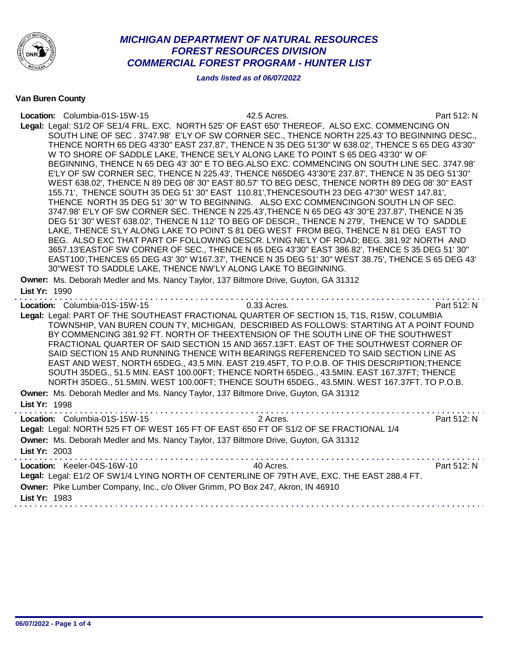

## *MICHIGAN DEPARTMENT OF NATURAL RESOURCES FOREST RESOURCES DIVISION COMMERCIAL FOREST PROGRAM - HUNTER LIST*

*Lands listed as of 06/07/2022*

Van Buren County

| Location: Columbia-01S-15W-15<br>Legal: Legal: S1/2 OF SE1/4 FRL. EXC. NORTH 525' OF EAST 650' THEREOF, ALSO EXC. COMMENCING ON<br>Owner: Ms. Deborah Medler and Ms. Nancy Taylor, 137 Biltmore Drive, Guyton, GA 31312             | 42.5 Acres.<br>SOUTH LINE OF SEC. 3747.98' E'LY OF SW CORNER SEC., THENCE NORTH 225.43' TO BEGINNING DESC.,<br>THENCE NORTH 65 DEG 43'30" EAST 237.87', THENCE N 35 DEG 51'30" W 638.02', THENCE S 65 DEG 43'30"<br>W TO SHORE OF SADDLE LAKE, THENCE SE'LY ALONG LAKE TO POINT S 65 DEG 43'30" W OF<br>BEGINNING, THENCE N 65 DEG 43' 30" E TO BEG.ALSO EXC. COMMENCING ON SOUTH LINE SEC. 3747.98'<br>E'LY OF SW CORNER SEC, THENCE N 225.43', THENCE N65DEG 43'30"E 237.87', THENCE N 35 DEG 51'30"<br>WEST 638.02', THENCE N 89 DEG 08' 30" EAST 80.57' TO BEG DESC, THENCE NORTH 89 DEG 08' 30" EAST<br>155.71', THENCE SOUTH 35 DEG 51' 30" EAST 110.81', THENCESOUTH 23 DEG 47'30" WEST 147.81',<br>THENCE NORTH 35 DEG 51' 30" W TO BEGINNING. ALSO EXC COMMENCINGON SOUTH LN OF SEC.<br>3747.98' E'LY OF SW CORNER SEC. THENCE N 225.43', THENCE N 65 DEG 43' 30"E 237.87', THENCE N 35<br>DEG 51' 30" WEST 638.02', THENCE N 112' TO BEG OF DESCR., THENCE N 279', THENCE W TO SADDLE<br>LAKE, THENCE S'LY ALONG LAKE TO POINT S 81 DEG WEST FROM BEG, THENCE N 81 DEG EAST TO<br>BEG. ALSO EXC THAT PART OF FOLLOWING DESCR. LYING NE'LY OF ROAD; BEG. 381.92' NORTH AND<br>3657.13'EASTOF SW CORNER OF SEC., THENCE N 65 DEG 43'30" EAST 386.82', THENCE S 35 DEG 51' 30"<br>EAST100', THENCES 65 DEG 43' 30" W167.37', THENCE N 35 DEG 51' 30" WEST 38.75', THENCE S 65 DEG 43'<br>30"WEST TO SADDLE LAKE, THENCE NW'LY ALONG LAKE TO BEGINNING. | Part 512: N |
|-------------------------------------------------------------------------------------------------------------------------------------------------------------------------------------------------------------------------------------|---------------------------------------------------------------------------------------------------------------------------------------------------------------------------------------------------------------------------------------------------------------------------------------------------------------------------------------------------------------------------------------------------------------------------------------------------------------------------------------------------------------------------------------------------------------------------------------------------------------------------------------------------------------------------------------------------------------------------------------------------------------------------------------------------------------------------------------------------------------------------------------------------------------------------------------------------------------------------------------------------------------------------------------------------------------------------------------------------------------------------------------------------------------------------------------------------------------------------------------------------------------------------------------------------------------------------------------------------------------------------------------------------------------------------------------------------------------|-------------|
| List Yr: 1990                                                                                                                                                                                                                       |                                                                                                                                                                                                                                                                                                                                                                                                                                                                                                                                                                                                                                                                                                                                                                                                                                                                                                                                                                                                                                                                                                                                                                                                                                                                                                                                                                                                                                                               |             |
| Location: Columbia-01S-15W-15<br>Legal: Legal: PART OF THE SOUTHEAST FRACTIONAL QUARTER OF SECTION 15, T1S, R15W, COLUMBIA<br>Owner: Ms. Deborah Medler and Ms. Nancy Taylor, 137 Biltmore Drive, Guyton, GA 31312<br>List Yr: 1998 | 0.33 Acres.<br>TOWNSHIP, VAN BUREN COUN TY, MICHIGAN, DESCRIBED AS FOLLOWS: STARTING AT A POINT FOUND<br>BY COMMENCING 381.92 FT. NORTH OF THEEXTENSION OF THE SOUTH LINE OF THE SOUTHWEST<br>FRACTIONAL QUARTER OF SAID SECTION 15 AND 3657.13FT. EAST OF THE SOUTHWEST CORNER OF<br>SAID SECTION 15 AND RUNNING THENCE WITH BEARINGS REFERENCED TO SAID SECTION LINE AS<br>EAST AND WEST, NORTH 65DEG., 43.5 MIN. EAST 219.45FT, TO P.O.B. OF THIS DESCRIPTION; THENCE<br>SOUTH 35DEG., 51.5 MIN. EAST 100.00FT; THENCE NORTH 65DEG., 43.5MIN. EAST 167.37FT; THENCE<br>NORTH 35DEG., 51.5MIN. WEST 100.00FT; THENCE SOUTH 65DEG., 43.5MIN. WEST 167.37FT. TO P.O.B.                                                                                                                                                                                                                                                                                                                                                                                                                                                                                                                                                                                                                                                                                                                                                                                        | Part 512: N |
| Location: Columbia-01S-15W-15<br>Legal: Legal: NORTH 525 FT OF WEST 165 FT OF EAST 650 FT OF S1/2 OF SE FRACTIONAL 1/4<br>Owner: Ms. Deborah Medler and Ms. Nancy Taylor, 137 Biltmore Drive, Guyton, GA 31312<br>List Yr: 2003     | 2 Acres.                                                                                                                                                                                                                                                                                                                                                                                                                                                                                                                                                                                                                                                                                                                                                                                                                                                                                                                                                                                                                                                                                                                                                                                                                                                                                                                                                                                                                                                      | Part 512: N |
| Location: Keeler-04S-16W-10<br>Legal: Legal: E1/2 OF SW1/4 LYING NORTH OF CENTERLINE OF 79TH AVE, EXC. THE EAST 288.4 FT.<br>Owner: Pike Lumber Company, Inc., c/o Oliver Grimm, PO Box 247, Akron, IN 46910<br>List Yr: 1983       | 40 Acres.                                                                                                                                                                                                                                                                                                                                                                                                                                                                                                                                                                                                                                                                                                                                                                                                                                                                                                                                                                                                                                                                                                                                                                                                                                                                                                                                                                                                                                                     | Part 512: N |
|                                                                                                                                                                                                                                     |                                                                                                                                                                                                                                                                                                                                                                                                                                                                                                                                                                                                                                                                                                                                                                                                                                                                                                                                                                                                                                                                                                                                                                                                                                                                                                                                                                                                                                                               |             |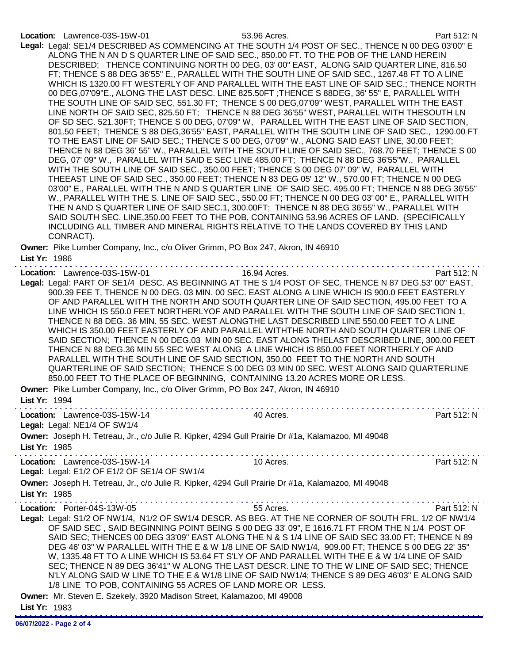## Location: Lawrence-03S-15W-01 53.96 Acres. Part 512: N

Legal: Legal: SE1/4 DESCRIBED AS COMMENCING AT THE SOUTH 1/4 POST OF SEC., THENCE N 00 DEG 03'00" E ALONG THE N AN D S QUARTER LINE OF SAID SEC., 850.00 FT. TO THE POB OF THE LAND HEREIN DESCRIBED; THENCE CONTINUING NORTH 00 DEG, 03' 00" EAST, ALONG SAID QUARTER LINE, 816.50 FT; THENCE S 88 DEG 36'55" E., PARALLEL WITH THE SOUTH LINE OF SAID SEC., 1267.48 FT TO A LINE WHICH IS 1320.00 FT WESTERLY OF AND PARALLEL WITH THE EAST LINE OF SAID SEC.; THENCE NORTH 00 DEG,07'09"E., ALONG THE LAST DESC. LINE 825.50FT ;THENCE S 88DEG, 36' 55" E, PARALLEL WITH THE SOUTH LINE OF SAID SEC, 551.30 FT; THENCE S 00 DEG,07'09" WEST, PARALLEL WITH THE EAST LINE NORTH OF SAID SEC, 825.50 FT; THENCE N 88 DEG 36'55" WEST, PARALLEL WITH THESOUTH LN OF SD SEC. 521.30FT; THENCE S 00 DEG, 07'09" W, PARALLEL WITH THE EAST LINE OF SAID SECTION, 801.50 FEET; THENCE S 88 DEG,36'55" EAST, PARALLEL WITH THE SOUTH LINE OF SAID SEC., 1290.00 FT TO THE EAST LINE OF SAID SEC.; THENCE S 00 DEG, 07'09" W., ALONG SAID EAST LINE, 30.00 FEET; THENCE N 88 DEG 36' 55" W., PARALLEL WITH THE SOUTH LINE OF SAID SEC., 768.70 FEET; THENCE S 00 DEG, 07' 09" W., PARALLEL WITH SAID E SEC LINE 485.00 FT; THENCE N 88 DEG 36'55"W., PARALLEL WITH THE SOUTH LINE OF SAID SEC., 350.00 FEET; THENCE S 00 DEG 07' 09" W, PARALLEL WITH THEEAST LINE OF SAID SEC., 350.00 FEET; THENCE N 83 DEG 05' 12" W., 570.00 FT; THENCE N 00 DEG 03'00" E., PARALLEL WITH THE N AND S QUARTER LINE OF SAID SEC. 495.00 FT; THENCE N 88 DEG 36'55" W., PARALLEL WITH THE S. LINE OF SAID SEC., 550.00 FT; THENCE N 00 DEG 03' 00" E., PARALLEL WITH THE N AND S QUARTER LINE OF SAID SEC.1, 300.00FT; THENCE N 88 DEG 36'55" W., PARALLEL WITH SAID SOUTH SEC. LINE,350.00 FEET TO THE POB, CONTAINING 53.96 ACRES OF LAND. {SPECIFICALLY INCLUDING ALL TIMBER AND MINERAL RIGHTS RELATIVE TO THE LANDS COVERED BY THIS LAND CONRACT).

Owner: Pike Lumber Company, Inc., c/o Oliver Grimm, PO Box 247, Akron, IN 46910 List Yr: 1986

| Location: Lawrence-03S-15W-01                                                                                                                                                                                                                                                                                                                                                                                                                                                                                                                                                                                                                                                                                                                                                                                                                                                                                                                                                                                                                                                                                                | .<br>16.94 Acres. | Part 512: N |
|------------------------------------------------------------------------------------------------------------------------------------------------------------------------------------------------------------------------------------------------------------------------------------------------------------------------------------------------------------------------------------------------------------------------------------------------------------------------------------------------------------------------------------------------------------------------------------------------------------------------------------------------------------------------------------------------------------------------------------------------------------------------------------------------------------------------------------------------------------------------------------------------------------------------------------------------------------------------------------------------------------------------------------------------------------------------------------------------------------------------------|-------------------|-------------|
| Legal: Legal: PART OF SE1/4 DESC. AS BEGINNING AT THE S 1/4 POST OF SEC, THENCE N 87 DEG.53' 00" EAST,<br>900.39 FEE T, THENCE N 00 DEG. 03 MIN. 00 SEC. EAST ALONG A LINE WHICH IS 900.0 FEET EASTERLY<br>OF AND PARALLEL WITH THE NORTH AND SOUTH QUARTER LINE OF SAID SECTION, 495.00 FEET TO A<br>LINE WHICH IS 550.0 FEET NORTHERLYOF AND PARALLEL WITH THE SOUTH LINE OF SAID SECTION 1,<br>THENCE N 88 DEG. 36 MIN. 55 SEC. WEST ALONGTHE LAST DESCRIBED LINE 550.00 FEET TO A LINE<br>WHICH IS 350.00 FEET EASTERLY OF AND PARALLEL WITHTHE NORTH AND SOUTH QUARTER LINE OF<br>SAID SECTION; THENCE N 00 DEG.03 MIN 00 SEC. EAST ALONG THELAST DESCRIBED LINE, 300.00 FEET<br>THENCE N 88 DEG.36 MIN 55 SEC WEST ALONG A LINE WHICH IS 850.00 FEET NORTHERLY OF AND<br>PARALLEL WITH THE SOUTH LINE OF SAID SECTION, 350.00 FEET TO THE NORTH AND SOUTH<br>QUARTERLINE OF SAID SECTION; THENCE S 00 DEG 03 MIN 00 SEC. WEST ALONG SAID QUARTERLINE<br>850.00 FEET TO THE PLACE OF BEGINNING, CONTAINING 13.20 ACRES MORE OR LESS.<br>Owner: Pike Lumber Company, Inc., c/o Oliver Grimm, PO Box 247, Akron, IN 46910 |                   |             |
| List Yr: 1994                                                                                                                                                                                                                                                                                                                                                                                                                                                                                                                                                                                                                                                                                                                                                                                                                                                                                                                                                                                                                                                                                                                |                   |             |
| Location: Lawrence-03S-15W-14<br>Legal: Legal: NE1/4 OF SW1/4                                                                                                                                                                                                                                                                                                                                                                                                                                                                                                                                                                                                                                                                                                                                                                                                                                                                                                                                                                                                                                                                | 40 Acres.         | Part 512: N |
| Owner: Joseph H. Tetreau, Jr., c/o Julie R. Kipker, 4294 Gull Prairie Dr #1a, Kalamazoo, MI 49048<br>List Yr: 1985                                                                                                                                                                                                                                                                                                                                                                                                                                                                                                                                                                                                                                                                                                                                                                                                                                                                                                                                                                                                           |                   |             |
| Location: Lawrence-03S-15W-14<br>Legal: Legal: E1/2 OF E1/2 OF SE1/4 OF SW1/4                                                                                                                                                                                                                                                                                                                                                                                                                                                                                                                                                                                                                                                                                                                                                                                                                                                                                                                                                                                                                                                | 10 Acres.         | Part 512: N |
| Owner: Joseph H. Tetreau, Jr., c/o Julie R. Kipker, 4294 Gull Prairie Dr #1a, Kalamazoo, MI 49048<br>List Yr: 1985                                                                                                                                                                                                                                                                                                                                                                                                                                                                                                                                                                                                                                                                                                                                                                                                                                                                                                                                                                                                           |                   |             |
| Location: Porter-04S-13W-05<br>Legal: Legal: S1/2 OF NW1/4, N1/2 OF SW1/4 DESCR. AS BEG. AT THE NE CORNER OF SOUTH FRL. 1/2 OF NW1/4<br>OF SAID SEC, SAID BEGINNING POINT BEING S 00 DEG 33' 09", E 1616.71 FT FROM THE N 1/4 POST OF<br>SAID SEC; THENCES 00 DEG 33'09" EAST ALONG THE N & S 1/4 LINE OF SAID SEC 33.00 FT; THENCE N 89<br>DEG 46' 03" W PARALLEL WITH THE E & W 1/8 LINE OF SAID NW1/4, 909.00 FT; THENCE S 00 DEG 22' 35"<br>W, 1335.48 FT TO A LINE WHICH IS 53.64 FT S'LY OF AND PARALLEL WITH THE E & W 1/4 LINE OF SAID<br>SEC; THENCE N 89 DEG 36'41" W ALONG THE LAST DESCR. LINE TO THE W LINE OF SAID SEC; THENCE<br>N'LY ALONG SAID W LINE TO THE E & W1/8 LINE OF SAID NW1/4; THENCE S 89 DEG 46'03" E ALONG SAID<br>1/8 LINE TO POB, CONTAINING 55 ACRES OF LAND MORE OR LESS.<br>Owner: Mr. Steven E. Szekely, 3920 Madison Street, Kalamazoo, MI 49008<br>List Yr: 1983                                                                                                                                                                                                                      | 55 Acres.         | Part 512: N |